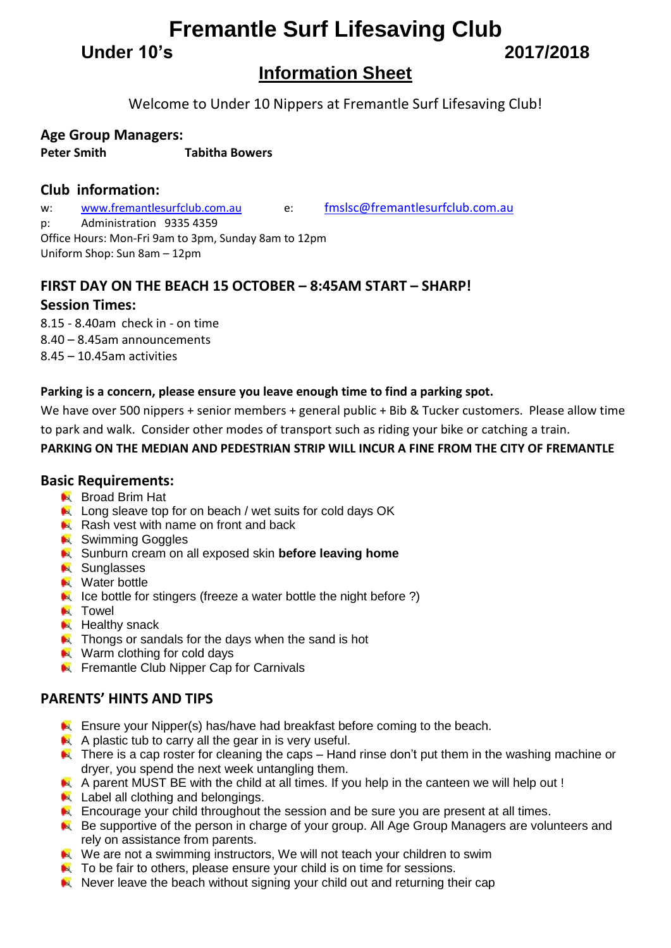# **Fremantle Surf Lifesaving Club**

**Under 10's 2017/2018**

# **Information Sheet**

Welcome to Under 10 Nippers at Fremantle Surf Lifesaving Club!

## **Age Group Managers:**

**Peter Smith Tabitha Bowers**

## **Club information:**

w: [www.fremantlesurfclub.com.au](http://www.fremantlesurfclub.com.au/) e: [fmslsc@fremantlesurfclub.com.au](mailto:fmslsc@fremantlesurfclub.com.au) p: Administration 9335 4359 Office Hours: Mon-Fri 9am to 3pm, Sunday 8am to 12pm Uniform Shop: Sun 8am – 12pm

# **FIRST DAY ON THE BEACH 15 OCTOBER – 8:45AM START – SHARP!**

## **Session Times:**

8.15 - 8.40am check in - on time 8.40 – 8.45am announcements 8.45 – 10.45am activities

### **Parking is a concern, please ensure you leave enough time to find a parking spot.**

We have over 500 nippers + senior members + general public + Bib & Tucker customers. Please allow time to park and walk. Consider other modes of transport such as riding your bike or catching a train.

### **PARKING ON THE MEDIAN AND PEDESTRIAN STRIP WILL INCUR A FINE FROM THE CITY OF FREMANTLE**

## **Basic Requirements:**

- **Broad Brim Hat**
- Long sleave top for on beach / wet suits for cold days OK
- Rash vest with name on front and back
- **N** Swimming Goggles
- **K** Sunburn cream on all exposed skin **before leaving home**
- **N** Sunglasses
- **N** Water bottle
- $\blacktriangleright$  Ice bottle for stingers (freeze a water bottle the night before ?)
- **N** Towel
- $H$  Healthy snack
- **A** Thongs or sandals for the days when the sand is hot
- Warm clothing for cold days
- **EX** Fremantle Club Nipper Cap for Carnivals

## **PARENTS' HINTS AND TIPS**

- **Ensure your Nipper(s) has/have had breakfast before coming to the beach.**
- $\blacktriangle$  A plastic tub to carry all the gear in is very useful.
- $\blacktriangleright$  There is a cap roster for cleaning the caps Hand rinse don't put them in the washing machine or dryer, you spend the next week untangling them.
- A parent MUST BE with the child at all times. If you help in the canteen we will help out !
- **Label all clothing and belongings.**
- **Encourage your child throughout the session and be sure you are present at all times.**
- Be supportive of the person in charge of your group. All Age Group Managers are volunteers and rely on assistance from parents.
- We are not a swimming instructors, We will not teach your children to swim
- **A** To be fair to others, please ensure your child is on time for sessions.
- $\blacktriangleright$  Never leave the beach without signing your child out and returning their cap